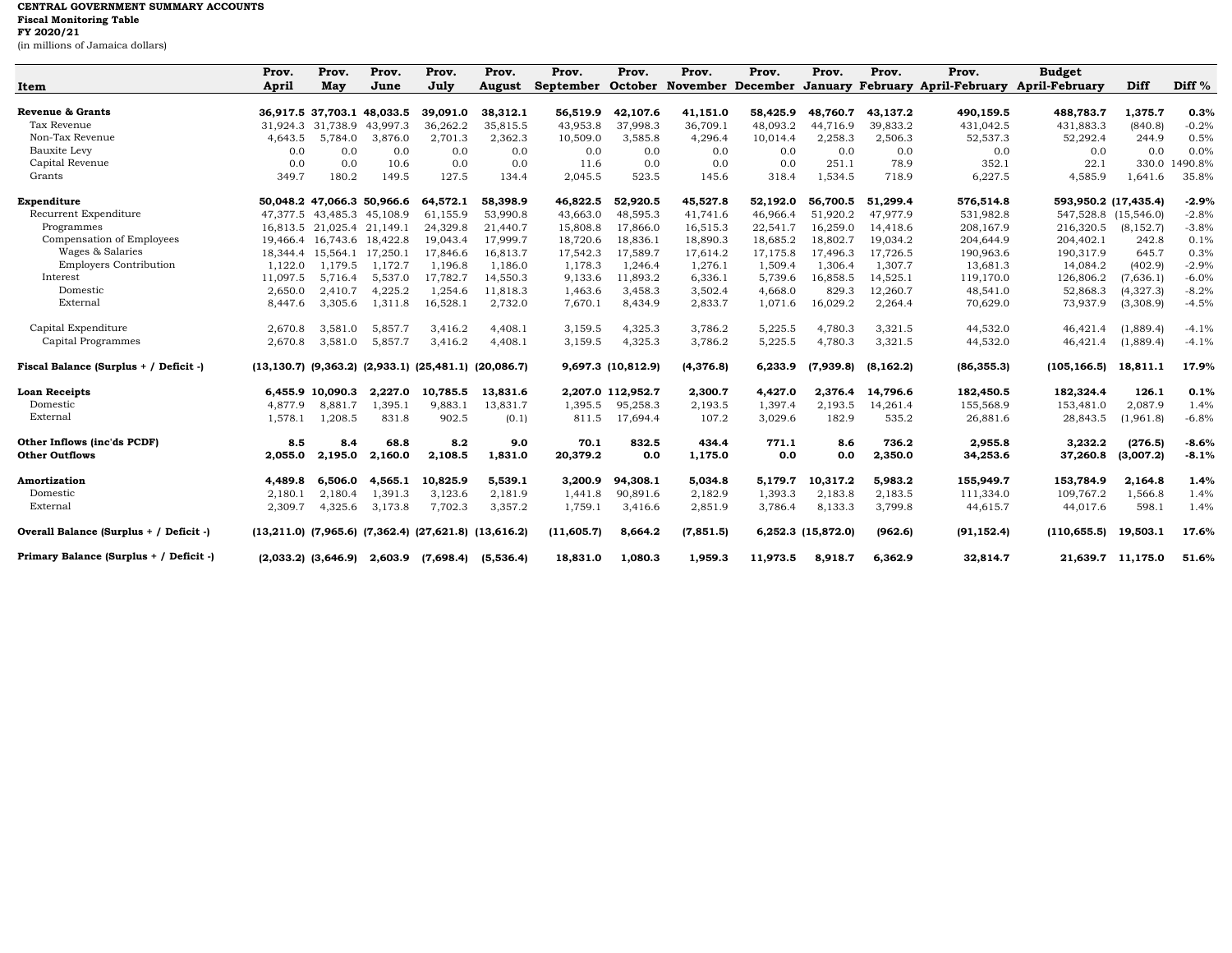## **CENTRAL GOVERNMENT SUMMARY ACCOUNTS Fiscal Monitoring Table FY 2020/21** (in millions of Jamaica dollars)

|                                         | Prov.    | Prov.                             | Prov.    | Prov.                                                               | Prov.     | Prov.       | Prov.              | Prov.      | Prov.    | Prov.              | Prov.      | Prov.                                                                              | <b>Budget</b>        |                   |                   |
|-----------------------------------------|----------|-----------------------------------|----------|---------------------------------------------------------------------|-----------|-------------|--------------------|------------|----------|--------------------|------------|------------------------------------------------------------------------------------|----------------------|-------------------|-------------------|
| Item                                    | April    | May                               | June     | July                                                                | August    |             |                    |            |          |                    |            | September October November December January February April-February April-February |                      | Diff              | Diff <sup>%</sup> |
|                                         |          |                                   |          |                                                                     |           |             |                    |            |          |                    |            |                                                                                    |                      |                   |                   |
| Revenue & Grants                        |          | 36.917.5 37.703.1 48.033.5        |          | 39,091.0                                                            | 38,312.1  | 56,519.9    | 42,107.6           | 41,151.0   | 58,425.9 | 48,760.7           | 43,137.2   | 490,159.5                                                                          | 488,783.7            | 1,375.7           | 0.3%              |
| Tax Revenue                             | 31.924.3 | 31.738.9                          | 43,997.3 | 36,262.2                                                            | 35,815.5  | 43,953.8    | 37,998.3           | 36,709.1   | 48,093.2 | 44,716.9           | 39,833.2   | 431,042.5                                                                          | 431,883.3            | (840.8)           | $-0.2%$           |
| Non-Tax Revenue                         | 4,643.5  | 5,784.0                           | 3,876.0  | 2,701.3                                                             | 2,362.3   | 10,509.0    | 3,585.8            | 4,296.4    | 10,014.4 | 2,258.3            | 2,506.3    | 52,537.3                                                                           | 52,292.4             | 244.9             | 0.5%              |
| Bauxite Levy                            | 0.0      | 0.0                               | 0.0      | 0.0                                                                 | 0.0       | 0.0         | 0.0                | 0.0        | 0.0      | 0.0                | 0.0        | 0.0                                                                                | 0.0                  | 0.0               | 0.0%              |
| Capital Revenue                         | 0.0      | 0.0                               | 10.6     | 0.0                                                                 | 0.0       | 11.6        | 0.0                | 0.0        | 0.0      | 251.1              | 78.9       | 352.1                                                                              | 22.1                 | 330.0             | 1490.8%           |
| Grants                                  | 349.7    | 180.2                             | 149.5    | 127.5                                                               | 134.4     | 2,045.5     | 523.5              | 145.6      | 318.4    | 1,534.5            | 718.9      | 6,227.5                                                                            | 4,585.9              | 1.641.6           | 35.8%             |
| Expenditure                             |          | 50,048.2 47,066.3 50,966.6        |          | 64,572.1                                                            | 58,398.9  | 46,822.5    | 52,920.5           | 45,527.8   | 52,192.0 | 56,700.5           | 51,299.4   | 576,514.8                                                                          | 593,950.2 (17,435.4) |                   | $-2.9%$           |
| Recurrent Expenditure                   | 47.377.5 | 43.485.3                          | 45,108.9 | 61,155.9                                                            | 53,990.8  | 43,663.0    | 48,595.3           | 41,741.6   | 46,966.4 | 51,920.2           | 47,977.9   | 531,982.8                                                                          | 547,528.8 (15,546.0) |                   | $-2.8%$           |
| Programmes                              | 16.813.5 | 21.025.4                          | 21.149.1 | 24,329.8                                                            | 21,440.7  | 15,808.8    | 17.866.0           | 16,515.3   | 22,541.7 | 16,259.0           | 14.418.6   | 208,167.9                                                                          | 216,320.5            | (8, 152.7)        | $-3.8%$           |
| Compensation of Employees               | 19.466.4 | 16.743.6 18.422.8                 |          | 19.043.4                                                            | 17,999.7  | 18,720.6    | 18,836.1           | 18,890.3   | 18,685.2 | 18,802.7           | 19,034.2   | 204,644.9                                                                          | 204,402.1            | 242.8             | 0.1%              |
| Wages & Salaries                        | 18.344.4 | 15,564.1                          | 17,250.1 | 17,846.6                                                            | 16,813.7  | 17,542.3    | 17,589.7           | 17,614.2   | 17,175.8 | 17,496.3           | 17,726.5   | 190,963.6                                                                          | 190,317.9            | 645.7             | 0.3%              |
| <b>Employers Contribution</b>           | 1,122.0  | 1,179.5                           | 1,172.7  | 1,196.8                                                             | 1,186.0   | 1,178.3     | 1,246.4            | 1,276.1    | 1,509.4  | 1,306.4            | 1,307.7    | 13,681.3                                                                           | 14,084.2             | (402.9)           | $-2.9%$           |
| Interest                                | 11,097.5 | 5,716.4                           | 5,537.0  | 17,782.7                                                            | 14,550.3  | 9,133.6     | 11,893.2           | 6,336.1    | 5,739.6  | 16,858.5           | 14,525.1   | 119,170.0                                                                          | 126,806.2            | (7,636.1)         | $-6.0%$           |
| Domestic                                | 2.650.0  | 2.410.7                           | 4.225.2  | 1.254.6                                                             | 11.818.3  | 1.463.6     | 3.458.3            | 3,502.4    | 4.668.0  | 829.3              | 12.260.7   | 48,541.0                                                                           | 52,868.3             | (4,327.3)         | $-8.2%$           |
| External                                | 8.447.6  | 3,305.6                           | 1,311.8  | 16,528.1                                                            | 2,732.0   | 7,670.1     | 8,434.9            | 2,833.7    | 1.071.6  | 16,029.2           | 2,264.4    | 70,629.0                                                                           | 73,937.9             | (3,308.9)         | $-4.5%$           |
| Capital Expenditure                     | 2.670.8  | 3.581.0                           | 5,857.7  | 3.416.2                                                             | 4,408.1   | 3,159.5     | 4,325.3            | 3,786.2    | 5,225.5  | 4,780.3            | 3,321.5    | 44,532.0                                                                           | 46.421.4             | (1,889.4)         | $-4.1%$           |
| Capital Programmes                      | 2,670.8  | 3,581.0                           | 5,857.7  | 3,416.2                                                             | 4,408.1   | 3,159.5     | 4,325.3            | 3,786.2    | 5,225.5  | 4,780.3            | 3,321.5    | 44,532.0                                                                           | 46,421.4             | (1,889.4)         | $-4.1%$           |
| Fiscal Balance (Surplus + / Deficit -)  |          |                                   |          | $(13, 130.7)$ $(9, 363.2)$ $(2, 933.1)$ $(25, 481.1)$ $(20, 086.7)$ |           |             | 9,697.3 (10,812.9) | (4, 376.8) | 6,233.9  | (7,939.8)          | (8, 162.2) | (86, 355.3)                                                                        | (105, 166.5)         | 18,811.1          | 17.9%             |
| <b>Loan Receipts</b>                    |          | 6.455.9 10.090.3                  | 2,227.0  | 10,785.5                                                            | 13.831.6  |             | 2,207.0 112,952.7  | 2,300.7    | 4,427.0  | 2,376.4            | 14.796.6   | 182,450.5                                                                          | 182,324.4            | 126.1             | 0.1%              |
| Domestic                                | 4.877.9  | 8,881.7                           | 1,395.1  | 9,883.1                                                             | 13,831.7  | 1,395.5     | 95,258.3           | 2,193.5    | 1,397.4  | 2,193.5            | 14,261.4   | 155,568.9                                                                          | 153,481.0            | 2,087.9           | 1.4%              |
| External                                | 1,578.1  | 1,208.5                           | 831.8    | 902.5                                                               | (0.1)     | 811.5       | 17,694.4           | 107.2      | 3,029.6  | 182.9              | 535.2      | 26,881.6                                                                           | 28,843.5             | (1,961.8)         | $-6.8%$           |
| Other Inflows (inc'ds PCDF)             | 8.5      | 8.4                               | 68.8     | 8.2                                                                 | 9.0       | 70.1        | 832.5              | 434.4      | 771.1    | 8.6                | 736.2      | 2,955.8                                                                            | 3,232.2              | (276.5)           | $-8.6%$           |
| <b>Other Outflows</b>                   | 2.055.0  | 2.195.0                           | 2.160.0  | 2,108.5                                                             | 1,831.0   | 20,379.2    | 0.0                | 1,175.0    | 0.0      | 0.0                | 2,350.0    | 34,253.6                                                                           | 37,260.8             | (3,007.2)         | $-8.1%$           |
| Amortization                            | 4,489.8  | 6,506.0                           | 4,565.1  | 10,825.9                                                            | 5,539.1   | 3,200.9     | 94,308.1           | 5,034.8    | 5,179.7  | 10,317.2           | 5,983.2    | 155,949.7                                                                          | 153,784.9            | 2,164.8           | 1.4%              |
| Domestic                                | 2,180.1  | 2,180.4                           | 1,391.3  | 3,123.6                                                             | 2,181.9   | 1,441.8     | 90,891.6           | 2,182.9    | 1,393.3  | 2,183.8            | 2,183.5    | 111,334.0                                                                          | 109,767.2            | 1,566.8           | 1.4%              |
| External                                | 2,309.7  | 4,325.6                           | 3,173.8  | 7,702.3                                                             | 3,357.2   | 1,759.1     | 3,416.6            | 2,851.9    | 3,786.4  | 8,133.3            | 3,799.8    | 44,615.7                                                                           | 44,017.6             | 598.1             | 1.4%              |
| Overall Balance (Surplus + / Deficit -) |          |                                   |          | $(13,211.0)$ $(7,965.6)$ $(7,362.4)$ $(27,621.8)$ $(13,616.2)$      |           | (11, 605.7) | 8,664.2            | (7, 851.5) |          | 6,252.3 (15,872.0) | (962.6)    | (91, 152.4)                                                                        | (110, 655.5)         | 19,503.1          | 17.6%             |
| Primary Balance (Surplus + / Deficit -) |          | $(2,033.2)$ $(3,646.9)$ $2,603.9$ |          | (7,698.4)                                                           | (5,536.4) | 18,831.0    | 1,080.3            | 1,959.3    | 11,973.5 | 8,918.7            | 6,362.9    | 32,814.7                                                                           |                      | 21,639.7 11,175.0 | 51.6%             |